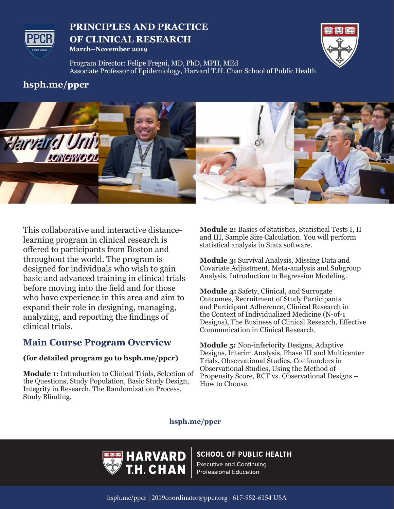

## **PRINCIPLES AND PRACTICE OF CLINICAL RESEARCH March–November 2019**



Program Director: Felipe Fregni, MD, PhD, MPH, MEd Associate Professor of Epidemiology, Harvard T.H. Chan School of Public Health

# **hsph.me/ppcr**



This collaborative and interactive distancelearning program in clinical research is offered to participants from Boston and throughout the world. The program is designed for individuals who wish to gain basic and advanced training in clinical trials before moving into the field and for those who have experience in this area and aim to expand their role in designing, managing, analyzing, and reporting the findings of clinical trials.

# **Main Course Program Overview**

### **(for detailed program go to hsph.me/ppcr)**

**Module 1:** Introduction to Clinical Trials, Selection of the Questions, Study Population, Basic Study Design, Integrity in Research, The Randomization Process, Study Blinding.

**Module 2:** Basics of Statistics, Statistical Tests I, II and III, Sample Size Calculation. You will perform statistical analysis in Stata software.

**Module 3:** Survival Analysis, Missing Data and Covariate Adjustment, Meta-analysis and Subgroup Analysis, Introduction to Regression Modeling.

**Module 4:** Safety, Clinical, and Surrogate Outcomes, Recruitment of Study Participants and Participant Adherence, Clinical Research in the Context of Individualized Medicine (N-of-1 Designs), The Business of Clinical Research, Effective Communication in Clinical Research.

**Module 5:** Non-inferiority Designs, Adaptive Designs, Interim Analysis, Phase III and Multicenter Trials, Observational Studies, Confounders in Observational Studies, Using the Method of Propensity Score, RCT vs. Observational Designs – How to Choose.

### **hsph.me/ppcr**



## **SCHOOL OF PUBLIC HEALTH**

**Executive and Continuing Professional Education**